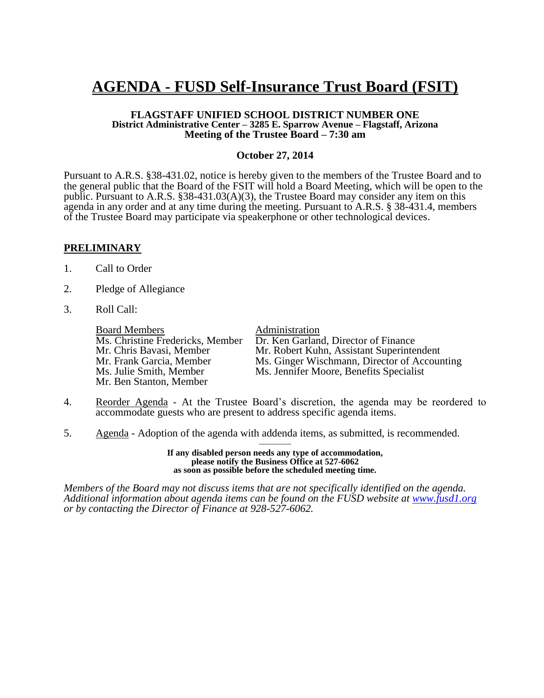# **AGENDA - FUSD Self-Insurance Trust Board (FSIT)**

#### **FLAGSTAFF UNIFIED SCHOOL DISTRICT NUMBER ONE District Administrative Center – 3285 E. Sparrow Avenue – Flagstaff, Arizona Meeting of the Trustee Board – 7:30 am**

#### **October 27, 2014**

Pursuant to A.R.S. §38-431.02, notice is hereby given to the members of the Trustee Board and to the general public that the Board of the FSIT will hold a Board Meeting, which will be open to the public. Pursuant to A.R.S. §38-431.03(A)(3), the Trustee Board may consider any item on this agenda in any order and at any time during the meeting. Pursuant to A.R.S. § 38-431.4, members of the Trustee Board may participate via speakerphone or other technological devices.

#### **PRELIMINARY**

- 1. Call to Order
- 2. Pledge of Allegiance
- 3. Roll Call:

**Board Members**<br>Ms. Christine Fredericks, Member Dr. Ken Garlan Mr. Ben Stanton, Member

Ms. Christine Fredericks, Member Dr. Ken Garland, Director of Finance<br>Mr. Chris Bavasi, Member Mr. Robert Kuhn, Assistant Superinte Mr. Chris Bavasi, Member Mr. Robert Kuhn, Assistant Superintendent<br>Mr. Frank Garcia. Member Ms. Ginger Wischmann. Director of Accour Mr. Frank Garcia, Member Ms. Ginger Wischmann, Director of Accounting<br>Ms. Julie Smith. Member Ms. Jennifer Moore. Benefits Specialist Ms. Jennifer Moore, Benefits Specialist

- 4. Reorder Agenda At the Trustee Board's discretion, the agenda may be reordered to accommodate guests who are present to address specific agenda items.
- 5. Agenda Adoption of the agenda with addenda items, as submitted, is recommended.

——— **If any disabled person needs any type of accommodation, please notify the Business Office at 527-6062 as soon as possible before the scheduled meeting time.**

*Members of the Board may not discuss items that are not specifically identified on the agenda. Additional information about agenda items can be found on the FUSD website at [www.fusd1.org](http://www.fusd1.org/) or by contacting the Director of Finance at 928-527-6062.*